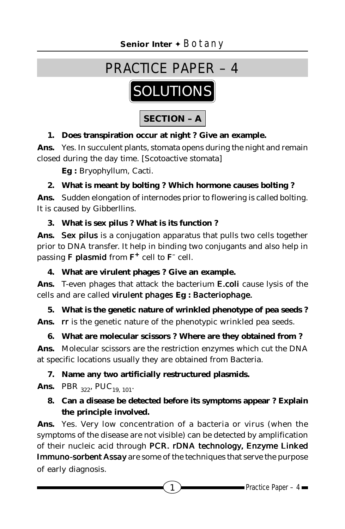

# **1. Does transpiration occur at night ? Give an example.**

**Ans.** Yes. In succulent plants, stomata opens during the night and remain closed during the day time. [Scotoactive stomata]

**Eg :** Bryophyllum, Cacti.

# **2. What is meant by bolting ? Which hormone causes bolting ?**

**Ans.** Sudden elongation of internodes prior to flowering is called bolting. It is caused by Gibberllins.

**3. What is sex pilus ? What is its function ?**

**Ans.** *Sex pilus* is a conjugation apparatus that pulls two cells together prior to DNA transfer. It help in binding two conjugants and also help in passing **F** plasmid from  $F^+$  cell to  $F^-$  cell.

**4. What are virulent phages ? Give an example.**

**Ans.** T-even phages that attack the bacterium *E.coli* cause lysis of the cells and are called *virulent phages* **Eg :** *Bacteriophage.*

**5. What is the genetic nature of wrinkled phenotype of pea seeds ? Ans.** *rr* is the genetic nature of the phenotypic wrinkled pea seeds.

**6. What are molecular scissors ? Where are they obtained from ? Ans.** Molecular scissors are the restriction enzymes which cut the DNA at specific locations usually they are obtained from Bacteria.

# **7. Name any two artificially restructured plasmids.**

**Ans.** PBR  $_{322}$ , PUC<sub>19, 101</sub>.

# **8. Can a disease be detected before its symptoms appear ? Explain the principle involved.**

**Ans.** Yes. Very low concentration of a bacteria or virus (when the symptoms of the disease are not visible) can be detected by amplification of their nucleic acid through *PCR. rDNA technology, Enzyme Linked Immuno-sorbent Assay* are some of the techniques that serve the purpose of early diagnosis.

1 Practice Paper – 4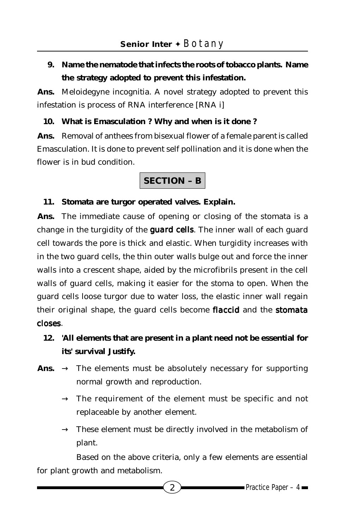# **9. Name the nematode that infects the roots of tobacco plants. Name the strategy adopted to prevent this infestation.**

**Ans.** Meloidegyne incognitia. A novel strategy adopted to prevent this infestation is process of RNA interference [RNA i]

## **10. What is Emasculation ? Why and when is it done ?**

**Ans.** Removal of anthees from bisexual flower of a female parent is called Emasculation. It is done to prevent self pollination and it is done when the flower is in bud condition.

# **SECTION – B**

### **11. Stomata are turgor operated valves. Explain.**

**Ans.** The immediate cause of opening or closing of the stomata is a change in the turgidity of the *guard cells*. The inner wall of each guard cell towards the pore is thick and elastic. When turgidity increases with in the two guard cells, the thin outer walls bulge out and force the inner walls into a crescent shape, aided by the microfibrils present in the cell walls of guard cells, making it easier for the stoma to open. When the guard cells loose turgor due to water loss, the elastic inner wall regain their original shape, the guard cells become *flaccid* and the *stomata closes*.

# **12. 'All elements that are present in a plant need not be essential for its' survival Justify.**

- Ans.  $\rightarrow$  The elements must be absolutely necessary for supporting normal growth and reproduction.
	- $\rightarrow$  The requirement of the element must be specific and not replaceable by another element.
	- $\rightarrow$  These element must be directly involved in the metabolism of plant.

Based on the above criteria, only a few elements are essential for plant growth and metabolism.

2 **D** Practice Paper – 4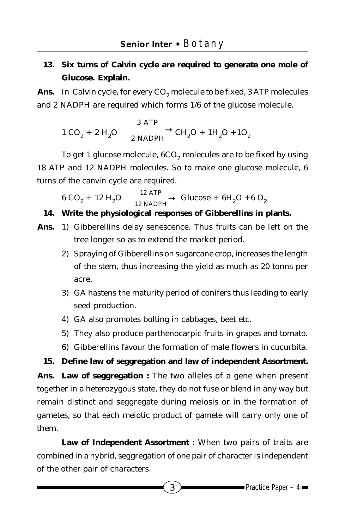# **13. Six turns of Calvin cycle are required to generate one mole of Glucose. Explain.**

Ans. In Calvin cycle, for every CO<sub>2</sub> molecule to be fixed, 3 ATP molecules and 2 NADPH are required which forms 1/6 of the glucose molecule.

$$
1 \text{ CO}_2 + 2 \text{ H}_2\text{O} \xrightarrow{\qquad \qquad 3 \text{ ATP} \qquad} \text{CH}_2\text{O} + 1\text{H}_2\text{O} + 1\text{O}_2
$$

To get 1 glucose molecule, 6CO<sub>2</sub> molecules are to be fixed by using 18 ATP and 12 NADPH molecules. So to make one glucose molecule, 6 turns of the canvin cycle are required.

 $6 CO_2 + 12 H_2O \longrightarrow \frac{12 \text{ ATP}}{12 \text{ NADPH}}$  Glucose +  $6H_2O$  +  $6 O_2$ 

## **14. Write the physiological responses of Gibberellins in plants.**

- **Ans.** 1) Gibberellins delay senescence. Thus fruits can be left on the tree longer so as to extend the market period.
	- 2) Spraying of Gibberellins on sugarcane crop, increases the length of the stem, thus increasing the yield as much as 20 tonns per acre.
	- 3) GA hastens the maturity period of conifers thus leading to early seed production.
	- 4) GA also promotes bolting in cabbages, beet etc.
	- 5) They also produce parthenocarpic fruits in grapes and tomato.
	- 6) Gibberellins favour the formation of male flowers in cucurbita.

#### **15. Define law of seggregation and law of independent Assortment.**

**Ans. Law of seggregation :** The two alleles of a gene when present together in a heterozygous state, they do not fuse or blend in any way but remain distinct and seggregate during meiosis or in the formation of gametes, so that each meiotic product of gamete will carry only one of them.

**Law of Independent Assortment :** When two pairs of traits are combined in a hybrid, seggregation of one pair of character is independent of the other pair of characters.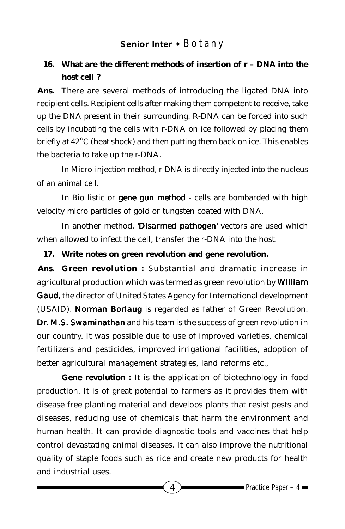# **16. What are the different methods of insertion of r – DNA into the host cell ?**

**Ans.** There are several methods of introducing the ligated DNA into recipient cells. Recipient cells after making them competent to receive, take up the DNA present in their surrounding. R-DNA can be forced into such cells by incubating the cells with r-DNA on ice followed by placing them briefly at 42°C (heat shock) and then putting them back on ice. This enables the bacteria to take up the r-DNA.

In Micro-injection method, r-DNA is directly injected into the nucleus of an animal cell.

In Bio listic or *gene gun method* - cells are bombarded with high velocity micro particles of gold or tungsten coated with DNA.

In another method, 'Disarmed pathogen' vectors are used which when allowed to infect the cell, transfer the r-DNA into the host.

**17. Write notes on green revolution and gene revolution.**

**Ans. Green revolution :** Substantial and dramatic increase in agricultural production which was termed as green revolution by *William Gaud,* the director of United States Agency for International development (USAID). *Norman Borlaug* is regarded as father of Green Revolution. *Dr. M.S. Swaminathan* and his team is the success of green revolution in our country. It was possible due to use of improved varieties, chemical fertilizers and pesticides, improved irrigational facilities, adoption of better agricultural management strategies, land reforms etc.,

**Gene revolution :** It is the application of biotechnology in food production. It is of great potential to farmers as it provides them with disease free planting material and develops plants that resist pests and diseases, reducing use of chemicals that harm the environment and human health. It can provide diagnostic tools and vaccines that help control devastating animal diseases. It can also improve the nutritional quality of staple foods such as rice and create new products for health and industrial uses.

 $4 \rightarrow$  Practice Paper – 4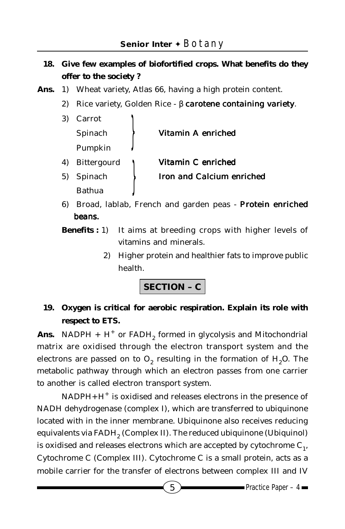- **18. Give few examples of biofortified crops. What benefits do they offer to the society ?**
- **Ans.** 1) Wheat variety, Atlas 66, having a high protein content.
	- 2) Rice variety, Golden Rice β *carotene containing variety*.

| 3) | Carrot             |                           |
|----|--------------------|---------------------------|
|    | Spinach            | Vitamin A enriched        |
|    | Pumpkin            |                           |
| 4) | <b>Bittergourd</b> | Vitamin C enriched        |
|    | 5) Spinach         | Iron and Calcium enriched |
|    | Bathua             |                           |

- 6) Broad, lablab, French and garden peas *Protein enriched beans.*
- **Benefits :** 1) It aims at breeding crops with higher levels of vitamins and minerals.
	- 2) Higher protein and healthier fats to improve public health.

**SECTION – C**

# **19. Oxygen is critical for aerobic respiration. Explain its role with respect to ETS.**

**Ans.** NADPH +  $H^+$  or FADH<sub>2</sub> formed in glycolysis and Mitochondrial matrix are oxidised through the electron transport system and the electrons are passed on to  $O<sub>2</sub>$  resulting in the formation of  $H<sub>2</sub>O$ . The metabolic pathway through which an electron passes from one carrier to another is called electron transport system.

NADPH+H<sup>+</sup> is oxidised and releases electrons in the presence of NADH dehydrogenase (complex I), which are transferred to ubiquinone located with in the inner membrane. Ubiquinone also receives reducing equivalents via FADH<sub>2</sub> (Complex II). The reduced ubiquinone (Ubiquinol) is oxidised and releases electrons which are accepted by cytochrome  $C_1$ , Cytochrome C (Complex III). Cytochrome C is a small protein, acts as a mobile carrier for the transfer of electrons between complex III and IV

 $\overline{5}$  Practice Paper – 4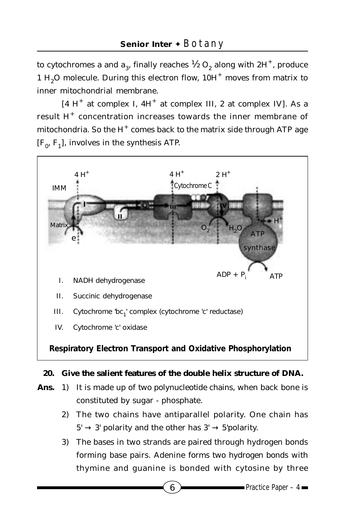to cytochromes a and  $a_3$ , finally reaches  $\frac{1}{2}$  O<sub>2</sub> along with 2H<sup>+</sup>, produce 1 H<sub>2</sub>O molecule. During this electron flow,  $10H<sup>+</sup>$  moves from matrix to inner mitochondrial membrane.

 $[4 H<sup>+</sup>$  at complex I,  $4H<sup>+</sup>$  at complex III, 2 at complex IV]. As a result  $H^+$  concentration increases towards the inner membrane of mitochondria. So the  $H^+$  comes back to the matrix side through ATP age  $[F_0, F_1]$ , involves in the synthesis ATP.



### **20. Give the salient features of the double helix structure of DNA.**

- **Ans.** 1) It is made up of two polynucleotide chains, when back bone is constituted by sugar - phosphate.
	- 2) The two chains have antiparallel polarity. One chain has  $5' \rightarrow 3'$  polarity and the other has  $3' \rightarrow 5'$  polarity.
	- 3) The bases in two strands are paired through hydrogen bonds forming base pairs. Adenine forms two hydrogen bonds with thymine and guanine is bonded with cytosine by three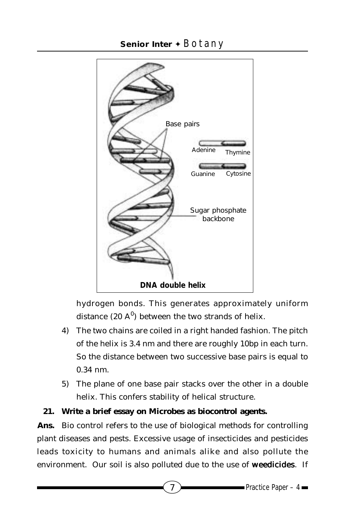

hydrogen bonds. This generates approximately uniform distance (20  $A^0$ ) between the two strands of helix.

- 4) The two chains are coiled in a right handed fashion. The pitch of the helix is 3.4 nm and there are roughly 10bp in each turn. So the distance between two successive base pairs is equal to 0.34 nm.
- 5) The plane of one base pair stacks over the other in a double helix. This confers stability of helical structure.

## **21. Write a brief essay on Microbes as biocontrol agents.**

**Ans.** Bio control refers to the use of biological methods for controlling plant diseases and pests. Excessive usage of insecticides and pesticides leads toxicity to humans and animals alike and also pollute the environment. Our soil is also polluted due to the use of *weedicides*. If